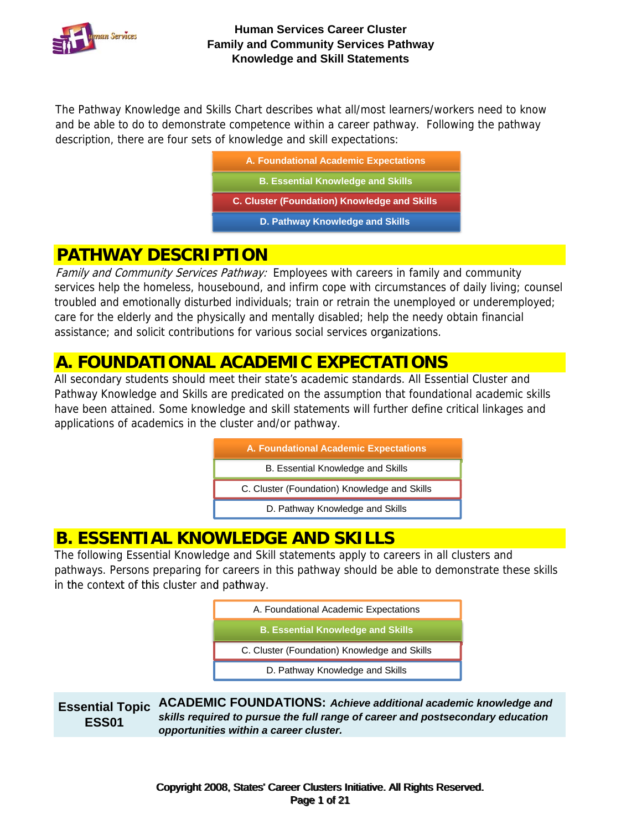

The Pathway Knowledge and Skills Chart describes what all/most learners/workers need to know and be able to do to demonstrate competence within a career pathway. Following the pathway description, there are four sets of knowledge and skill expectations:

| A. Foundational Academic Expectations               |
|-----------------------------------------------------|
| <b>B. Essential Knowledge and Skills</b>            |
|                                                     |
| <b>C. Cluster (Foundation) Knowledge and Skills</b> |
| D. Pathway Knowledge and Skills                     |

# **PATHWAY DESCRIPTION**

Family and Community Services Pathway: Employees with careers in family and community services help the homeless, housebound, and infirm cope with circumstances of daily living; counsel troubled and emotionally disturbed individuals; train or retrain the unemployed or underemployed; care for the elderly and the physically and mentally disabled; help the needy obtain financial assistance; and solicit contributions for various social services organizations.

# **A. FOUNDATIONAL ACADEMIC EXPECTATIONS**

All secondary students should meet their state's academic standards. All Essential Cluster and Pathway Knowledge and Skills are predicated on the assumption that foundational academic skills have been attained. Some knowledge and skill statements will further define critical linkages and applications of academics in the cluster and/or pathway.

| A. Foundational Academic Expectations        |
|----------------------------------------------|
| B. Essential Knowledge and Skills            |
| C. Cluster (Foundation) Knowledge and Skills |
| D. Pathway Knowledge and Skills              |

# **B. ESSENTIAL KNOWLEDGE AND SKILLS**

The following Essential Knowledge and Skill statements apply to careers in all clusters and pathways. Persons preparing for careers in this pathway should be able to demonstrate these skills in the context of this cluster and pathway.



**Essential Topic ESS01 ACADEMIC FOUNDATIONS:** *Achieve additional academic knowledge and skills required to pursue the full range of career and postsecondary education opportunities within a career cluster.*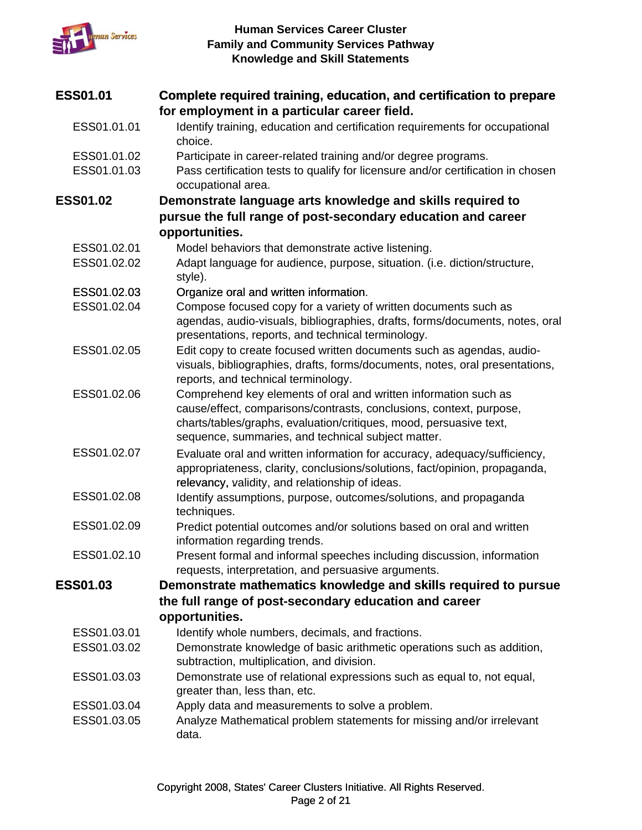

| <b>ESS01.01</b> | Complete required training, education, and certification to prepare<br>for employment in a particular career field.                                                                                                                                                |
|-----------------|--------------------------------------------------------------------------------------------------------------------------------------------------------------------------------------------------------------------------------------------------------------------|
| ESS01.01.01     | Identify training, education and certification requirements for occupational<br>choice.                                                                                                                                                                            |
| ESS01.01.02     | Participate in career-related training and/or degree programs.                                                                                                                                                                                                     |
| ESS01.01.03     | Pass certification tests to qualify for licensure and/or certification in chosen<br>occupational area.                                                                                                                                                             |
| <b>ESS01.02</b> | Demonstrate language arts knowledge and skills required to                                                                                                                                                                                                         |
|                 | pursue the full range of post-secondary education and career                                                                                                                                                                                                       |
|                 | opportunities.                                                                                                                                                                                                                                                     |
| ESS01.02.01     | Model behaviors that demonstrate active listening.                                                                                                                                                                                                                 |
| ESS01.02.02     | Adapt language for audience, purpose, situation. (i.e. diction/structure,<br>style).                                                                                                                                                                               |
| ESS01.02.03     | Organize oral and written information.                                                                                                                                                                                                                             |
| ESS01.02.04     | Compose focused copy for a variety of written documents such as<br>agendas, audio-visuals, bibliographies, drafts, forms/documents, notes, oral<br>presentations, reports, and technical terminology.                                                              |
| ESS01.02.05     | Edit copy to create focused written documents such as agendas, audio-<br>visuals, bibliographies, drafts, forms/documents, notes, oral presentations,<br>reports, and technical terminology.                                                                       |
| ESS01.02.06     | Comprehend key elements of oral and written information such as<br>cause/effect, comparisons/contrasts, conclusions, context, purpose,<br>charts/tables/graphs, evaluation/critiques, mood, persuasive text,<br>sequence, summaries, and technical subject matter. |
| ESS01.02.07     | Evaluate oral and written information for accuracy, adequacy/sufficiency,<br>appropriateness, clarity, conclusions/solutions, fact/opinion, propaganda,<br>relevancy, validity, and relationship of ideas.                                                         |
| ESS01.02.08     | Identify assumptions, purpose, outcomes/solutions, and propaganda<br>techniques.                                                                                                                                                                                   |
| ESS01.02.09     | Predict potential outcomes and/or solutions based on oral and written<br>information regarding trends.                                                                                                                                                             |
| ESS01.02.10     | Present formal and informal speeches including discussion, information<br>requests, interpretation, and persuasive arguments.                                                                                                                                      |
| <b>ESS01.03</b> | Demonstrate mathematics knowledge and skills required to pursue                                                                                                                                                                                                    |
|                 | the full range of post-secondary education and career                                                                                                                                                                                                              |
|                 | opportunities.                                                                                                                                                                                                                                                     |
| ESS01.03.01     | Identify whole numbers, decimals, and fractions.                                                                                                                                                                                                                   |
| ESS01.03.02     | Demonstrate knowledge of basic arithmetic operations such as addition,                                                                                                                                                                                             |
|                 | subtraction, multiplication, and division.                                                                                                                                                                                                                         |
| ESS01.03.03     | Demonstrate use of relational expressions such as equal to, not equal,<br>greater than, less than, etc.                                                                                                                                                            |
| ESS01.03.04     | Apply data and measurements to solve a problem.                                                                                                                                                                                                                    |
| ESS01.03.05     | Analyze Mathematical problem statements for missing and/or irrelevant<br>data.                                                                                                                                                                                     |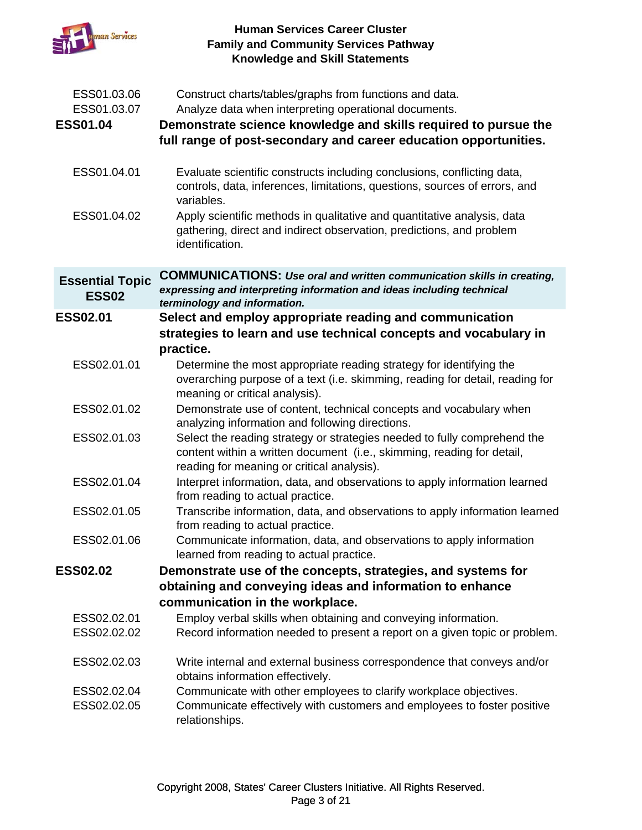

| ESS01.03.06<br>ESS01.03.07<br><b>ESS01.04</b> | Construct charts/tables/graphs from functions and data.<br>Analyze data when interpreting operational documents.<br>Demonstrate science knowledge and skills required to pursue the<br>full range of post-secondary and career education opportunities. |
|-----------------------------------------------|---------------------------------------------------------------------------------------------------------------------------------------------------------------------------------------------------------------------------------------------------------|
| ESS01.04.01                                   | Evaluate scientific constructs including conclusions, conflicting data,<br>controls, data, inferences, limitations, questions, sources of errors, and<br>variables.                                                                                     |
| ESS01.04.02                                   | Apply scientific methods in qualitative and quantitative analysis, data<br>gathering, direct and indirect observation, predictions, and problem<br>identification.                                                                                      |
| <b>Essential Topic</b><br><b>ESS02</b>        | <b>COMMUNICATIONS: Use oral and written communication skills in creating,</b><br>expressing and interpreting information and ideas including technical<br>terminology and information.                                                                  |
| <b>ESS02.01</b>                               | Select and employ appropriate reading and communication<br>strategies to learn and use technical concepts and vocabulary in<br>practice.                                                                                                                |
| ESS02.01.01                                   | Determine the most appropriate reading strategy for identifying the<br>overarching purpose of a text (i.e. skimming, reading for detail, reading for<br>meaning or critical analysis).                                                                  |
| ESS02.01.02                                   | Demonstrate use of content, technical concepts and vocabulary when<br>analyzing information and following directions.                                                                                                                                   |
| ESS02.01.03                                   | Select the reading strategy or strategies needed to fully comprehend the<br>content within a written document (i.e., skimming, reading for detail,<br>reading for meaning or critical analysis).                                                        |
| ESS02.01.04                                   | Interpret information, data, and observations to apply information learned<br>from reading to actual practice.                                                                                                                                          |
| ESS02.01.05                                   | Transcribe information, data, and observations to apply information learned<br>from reading to actual practice.                                                                                                                                         |
| ESS02.01.06                                   | Communicate information, data, and observations to apply information<br>learned from reading to actual practice.                                                                                                                                        |
| <b>ESS02.02</b>                               | Demonstrate use of the concepts, strategies, and systems for                                                                                                                                                                                            |
|                                               | obtaining and conveying ideas and information to enhance                                                                                                                                                                                                |
|                                               | communication in the workplace.                                                                                                                                                                                                                         |
| ESS02.02.01<br>ESS02.02.02                    | Employ verbal skills when obtaining and conveying information.<br>Record information needed to present a report on a given topic or problem.                                                                                                            |
| ESS02.02.03                                   | Write internal and external business correspondence that conveys and/or<br>obtains information effectively.                                                                                                                                             |
| ESS02.02.04<br>ESS02.02.05                    | Communicate with other employees to clarify workplace objectives.<br>Communicate effectively with customers and employees to foster positive<br>relationships.                                                                                          |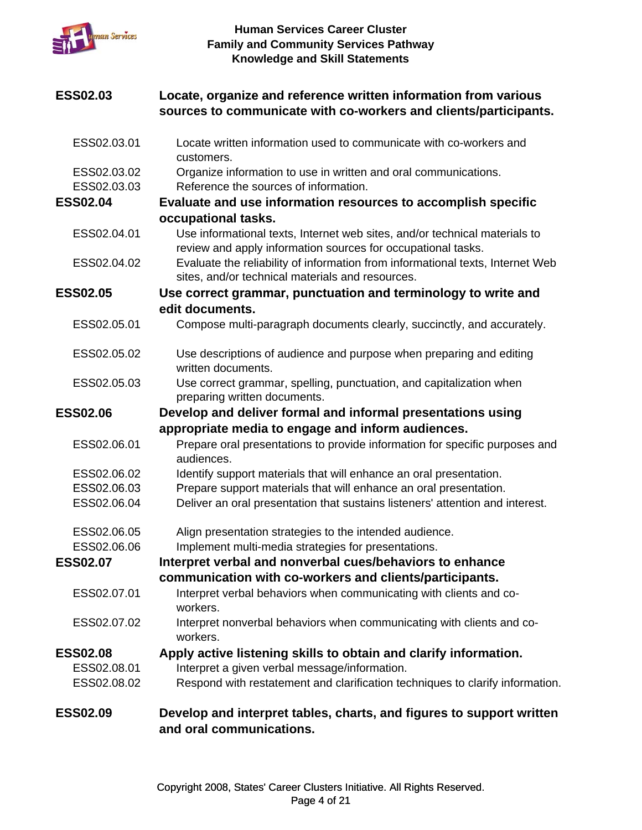

| <b>ESS02.03</b>            | Locate, organize and reference written information from various<br>sources to communicate with co-workers and clients/participants.        |
|----------------------------|--------------------------------------------------------------------------------------------------------------------------------------------|
| ESS02.03.01                | Locate written information used to communicate with co-workers and<br>customers.                                                           |
| ESS02.03.02<br>ESS02.03.03 | Organize information to use in written and oral communications.<br>Reference the sources of information.                                   |
| <b>ESS02.04</b>            | Evaluate and use information resources to accomplish specific                                                                              |
|                            | occupational tasks.                                                                                                                        |
| ESS02.04.01                | Use informational texts, Internet web sites, and/or technical materials to<br>review and apply information sources for occupational tasks. |
| ESS02.04.02                | Evaluate the reliability of information from informational texts, Internet Web<br>sites, and/or technical materials and resources.         |
| <b>ESS02.05</b>            | Use correct grammar, punctuation and terminology to write and                                                                              |
|                            | edit documents.                                                                                                                            |
| ESS02.05.01                | Compose multi-paragraph documents clearly, succinctly, and accurately.                                                                     |
| ESS02.05.02                | Use descriptions of audience and purpose when preparing and editing<br>written documents.                                                  |
| ESS02.05.03                | Use correct grammar, spelling, punctuation, and capitalization when<br>preparing written documents.                                        |
| <b>ESS02.06</b>            | Develop and deliver formal and informal presentations using                                                                                |
|                            | appropriate media to engage and inform audiences.                                                                                          |
| ESS02.06.01                | Prepare oral presentations to provide information for specific purposes and<br>audiences.                                                  |
| ESS02.06.02                | Identify support materials that will enhance an oral presentation.                                                                         |
| ESS02.06.03                | Prepare support materials that will enhance an oral presentation.                                                                          |
| ESS02.06.04                | Deliver an oral presentation that sustains listeners' attention and interest.                                                              |
| ESS02.06.05                | Align presentation strategies to the intended audience.                                                                                    |
| ESS02.06.06                | Implement multi-media strategies for presentations.                                                                                        |
| <b>ESS02.07</b>            | Interpret verbal and nonverbal cues/behaviors to enhance                                                                                   |
|                            | communication with co-workers and clients/participants.                                                                                    |
| ESS02.07.01                | Interpret verbal behaviors when communicating with clients and co-<br>workers.                                                             |
| ESS02.07.02                | Interpret nonverbal behaviors when communicating with clients and co-<br>workers.                                                          |
| <b>ESS02.08</b>            | Apply active listening skills to obtain and clarify information.                                                                           |
| ESS02.08.01                | Interpret a given verbal message/information.                                                                                              |
| ESS02.08.02                | Respond with restatement and clarification techniques to clarify information.                                                              |
| <b>ESS02.09</b>            | Develop and interpret tables, charts, and figures to support written<br>and oral communications.                                           |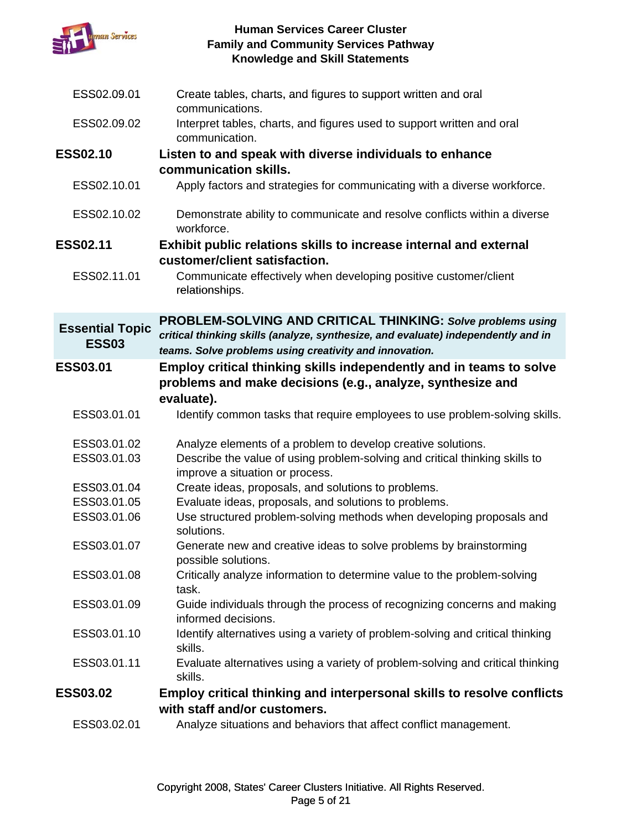

| ESS02.09.01                            | Create tables, charts, and figures to support written and oral<br>communications.                                                                                                                          |
|----------------------------------------|------------------------------------------------------------------------------------------------------------------------------------------------------------------------------------------------------------|
| ESS02.09.02                            | Interpret tables, charts, and figures used to support written and oral<br>communication.                                                                                                                   |
| <b>ESS02.10</b>                        | Listen to and speak with diverse individuals to enhance                                                                                                                                                    |
|                                        | communication skills.                                                                                                                                                                                      |
| ESS02.10.01                            | Apply factors and strategies for communicating with a diverse workforce.                                                                                                                                   |
| ESS02.10.02                            | Demonstrate ability to communicate and resolve conflicts within a diverse<br>workforce.                                                                                                                    |
| <b>ESS02.11</b>                        | Exhibit public relations skills to increase internal and external                                                                                                                                          |
|                                        | customer/client satisfaction.                                                                                                                                                                              |
| ESS02.11.01                            | Communicate effectively when developing positive customer/client<br>relationships.                                                                                                                         |
| <b>Essential Topic</b><br><b>ESS03</b> | PROBLEM-SOLVING AND CRITICAL THINKING: Solve problems using<br>critical thinking skills (analyze, synthesize, and evaluate) independently and in<br>teams. Solve problems using creativity and innovation. |
| <b>ESS03.01</b>                        | Employ critical thinking skills independently and in teams to solve<br>problems and make decisions (e.g., analyze, synthesize and                                                                          |
|                                        | evaluate).                                                                                                                                                                                                 |
| ESS03.01.01                            | Identify common tasks that require employees to use problem-solving skills.                                                                                                                                |
| ESS03.01.02                            | Analyze elements of a problem to develop creative solutions.                                                                                                                                               |
| ESS03.01.03                            | Describe the value of using problem-solving and critical thinking skills to<br>improve a situation or process.                                                                                             |
| ESS03.01.04                            | Create ideas, proposals, and solutions to problems.                                                                                                                                                        |
| ESS03.01.05                            | Evaluate ideas, proposals, and solutions to problems.                                                                                                                                                      |
| ESS03.01.06                            | Use structured problem-solving methods when developing proposals and<br>solutions.                                                                                                                         |
| ESS03.01.07                            | Generate new and creative ideas to solve problems by brainstorming<br>possible solutions.                                                                                                                  |
| ESS03.01.08                            | Critically analyze information to determine value to the problem-solving<br>task.                                                                                                                          |
| ESS03.01.09                            | Guide individuals through the process of recognizing concerns and making<br>informed decisions.                                                                                                            |
| ESS03.01.10                            | Identify alternatives using a variety of problem-solving and critical thinking<br>skills.                                                                                                                  |
| ESS03.01.11                            | Evaluate alternatives using a variety of problem-solving and critical thinking<br>skills.                                                                                                                  |
| <b>ESS03.02</b>                        | Employ critical thinking and interpersonal skills to resolve conflicts                                                                                                                                     |
|                                        | with staff and/or customers.                                                                                                                                                                               |
| ESS03.02.01                            | Analyze situations and behaviors that affect conflict management.                                                                                                                                          |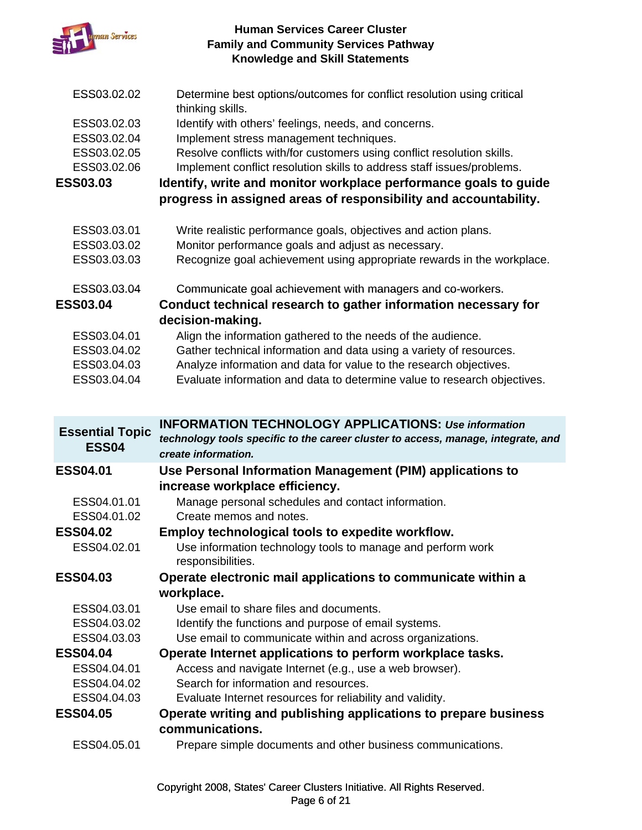

- ESS03.02.02 Determine best options/outcomes for conflict resolution using critical thinking skills.
- ESS03.02.03 Identify with others' feelings, needs, and concerns.
- ESS03.02.04 Implement stress management techniques.
- ESS03.02.05 Resolve conflicts with/for customers using conflict resolution skills.
- ESS03.02.06 Implement conflict resolution skills to address staff issues/problems.

**ESS03.03 Identify, write and monitor workplace performance goals to guide**  progress in assigned areas of responsibility and accountability.

- ESS03.03.01 Write realistic performance goals, objectives and action plans.
- ESS03.03.02 Monitor performance goals and adjust as necessary.
- ESS03.03.03 Recognize goal achievement using appropriate rewards in the workplace.
- ESS03.03.04 Communicate goal achievement with managers and co-workers.

# **ESS03.04 Conduct technical research to gather information necessary for decision-making.**

- ESS03.04.01 Align the information gathered to the needs of the audience.
- ESS03.04.02 Gather technical information and data using a variety of resources.
- ESS03.04.03 Analyze information and data for value to the research objectives.
- ESS03.04.04 Evaluate information and data to determine value to research objectives.

| <b>Essential Topic</b><br><b>ESS04</b> | <b>INFORMATION TECHNOLOGY APPLICATIONS: Use information</b><br>technology tools specific to the career cluster to access, manage, integrate, and<br>create information. |
|----------------------------------------|-------------------------------------------------------------------------------------------------------------------------------------------------------------------------|
| <b>ESS04.01</b>                        | Use Personal Information Management (PIM) applications to                                                                                                               |
|                                        | increase workplace efficiency.                                                                                                                                          |
| ESS04.01.01                            | Manage personal schedules and contact information.                                                                                                                      |
| ESS04.01.02                            | Create memos and notes.                                                                                                                                                 |
| <b>ESS04.02</b>                        | Employ technological tools to expedite workflow.                                                                                                                        |
| ESS04.02.01                            | Use information technology tools to manage and perform work<br>responsibilities.                                                                                        |
| <b>ESS04.03</b>                        | Operate electronic mail applications to communicate within a                                                                                                            |
|                                        | workplace.                                                                                                                                                              |
| ESS04.03.01                            | Use email to share files and documents.                                                                                                                                 |
| ESS04.03.02                            | Identify the functions and purpose of email systems.                                                                                                                    |
| ESS04.03.03                            | Use email to communicate within and across organizations.                                                                                                               |
| <b>ESS04.04</b>                        | Operate Internet applications to perform workplace tasks.                                                                                                               |
| ESS04.04.01                            | Access and navigate Internet (e.g., use a web browser).                                                                                                                 |
| ESS04.04.02                            | Search for information and resources.                                                                                                                                   |
| ESS04.04.03                            | Evaluate Internet resources for reliability and validity.                                                                                                               |
| <b>ESS04.05</b>                        | Operate writing and publishing applications to prepare business<br>communications.                                                                                      |
| ESS04.05.01                            | Prepare simple documents and other business communications.                                                                                                             |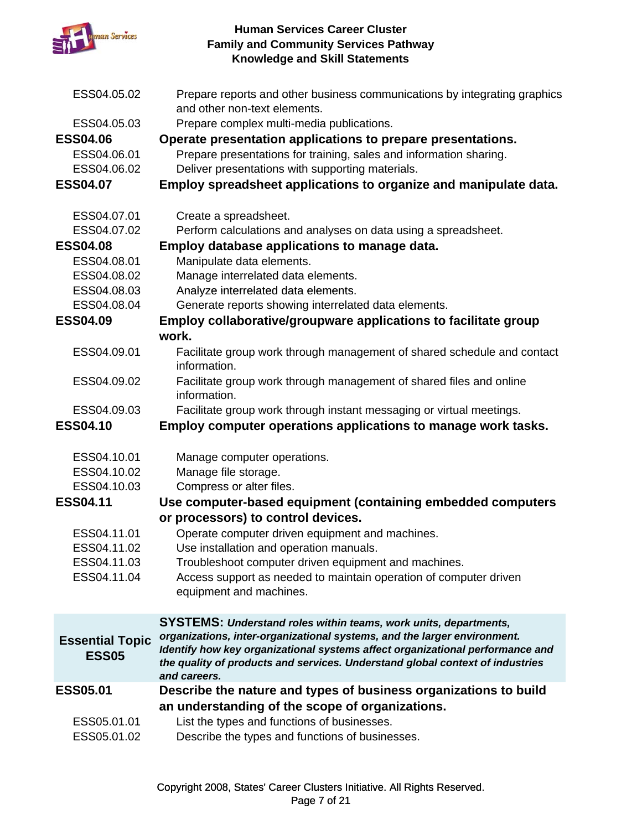

| ESS04.05.02                            | Prepare reports and other business communications by integrating graphics<br>and other non-text elements.                                                                                                                                                  |
|----------------------------------------|------------------------------------------------------------------------------------------------------------------------------------------------------------------------------------------------------------------------------------------------------------|
| ESS04.05.03                            | Prepare complex multi-media publications.                                                                                                                                                                                                                  |
| <b>ESS04.06</b>                        | Operate presentation applications to prepare presentations.                                                                                                                                                                                                |
| ESS04.06.01                            | Prepare presentations for training, sales and information sharing.                                                                                                                                                                                         |
| ESS04.06.02                            | Deliver presentations with supporting materials.                                                                                                                                                                                                           |
|                                        |                                                                                                                                                                                                                                                            |
| <b>ESS04.07</b>                        | Employ spreadsheet applications to organize and manipulate data.                                                                                                                                                                                           |
| ESS04.07.01                            | Create a spreadsheet.                                                                                                                                                                                                                                      |
| ESS04.07.02                            | Perform calculations and analyses on data using a spreadsheet.                                                                                                                                                                                             |
| <b>ESS04.08</b>                        | Employ database applications to manage data.                                                                                                                                                                                                               |
| ESS04.08.01                            | Manipulate data elements.                                                                                                                                                                                                                                  |
| ESS04.08.02                            | Manage interrelated data elements.                                                                                                                                                                                                                         |
| ESS04.08.03                            | Analyze interrelated data elements.                                                                                                                                                                                                                        |
| ESS04.08.04                            | Generate reports showing interrelated data elements.                                                                                                                                                                                                       |
| <b>ESS04.09</b>                        | Employ collaborative/groupware applications to facilitate group                                                                                                                                                                                            |
|                                        | work.                                                                                                                                                                                                                                                      |
| ESS04.09.01                            | Facilitate group work through management of shared schedule and contact<br>information.                                                                                                                                                                    |
| ESS04.09.02                            | Facilitate group work through management of shared files and online<br>information.                                                                                                                                                                        |
| ESS04.09.03                            | Facilitate group work through instant messaging or virtual meetings.                                                                                                                                                                                       |
| <b>ESS04.10</b>                        | Employ computer operations applications to manage work tasks.                                                                                                                                                                                              |
| ESS04.10.01                            | Manage computer operations.                                                                                                                                                                                                                                |
| ESS04.10.02                            | Manage file storage.                                                                                                                                                                                                                                       |
| ESS04.10.03                            | Compress or alter files.                                                                                                                                                                                                                                   |
| <b>ESS04.11</b>                        | Use computer-based equipment (containing embedded computers                                                                                                                                                                                                |
|                                        | or processors) to control devices.                                                                                                                                                                                                                         |
| ESS04.11.01                            | Operate computer driven equipment and machines.                                                                                                                                                                                                            |
| ESS04.11.02                            | Use installation and operation manuals.                                                                                                                                                                                                                    |
| ESS04.11.03                            | Troubleshoot computer driven equipment and machines.                                                                                                                                                                                                       |
| ESS04.11.04                            | Access support as needed to maintain operation of computer driven                                                                                                                                                                                          |
|                                        | equipment and machines.                                                                                                                                                                                                                                    |
|                                        | SYSTEMS: Understand roles within teams, work units, departments,                                                                                                                                                                                           |
| <b>Essential Topic</b><br><b>ESS05</b> | organizations, inter-organizational systems, and the larger environment.<br>Identify how key organizational systems affect organizational performance and<br>the quality of products and services. Understand global context of industries<br>and careers. |
| <b>ESS05.01</b>                        | Describe the nature and types of business organizations to build                                                                                                                                                                                           |
|                                        | an understanding of the scope of organizations.                                                                                                                                                                                                            |
| ESS05.01.01                            | List the types and functions of businesses.                                                                                                                                                                                                                |
|                                        |                                                                                                                                                                                                                                                            |
| ESS05.01.02                            | Describe the types and functions of businesses.                                                                                                                                                                                                            |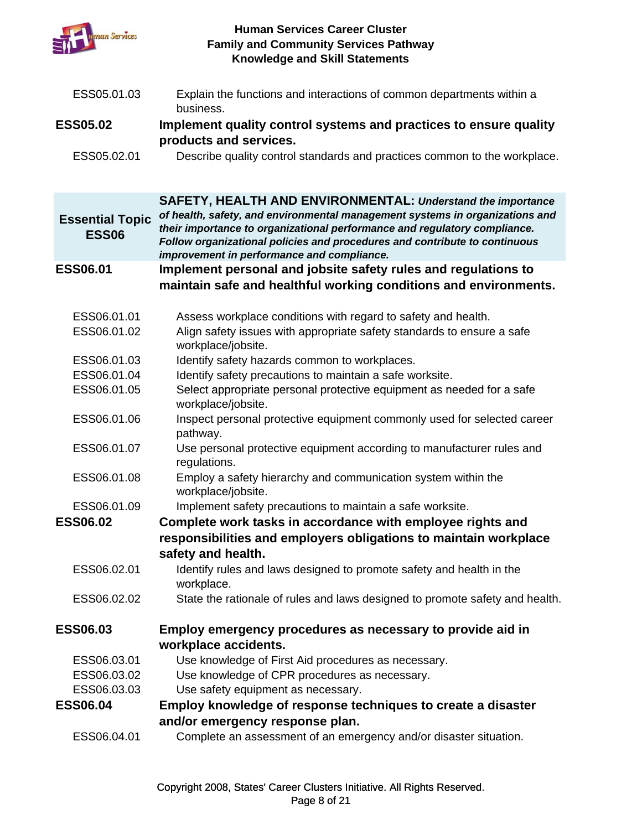

| ESS05.01.03                            | Explain the functions and interactions of common departments within a<br>business.                                                                                                                                                                                                    |
|----------------------------------------|---------------------------------------------------------------------------------------------------------------------------------------------------------------------------------------------------------------------------------------------------------------------------------------|
| <b>ESS05.02</b>                        | Implement quality control systems and practices to ensure quality                                                                                                                                                                                                                     |
|                                        | products and services.                                                                                                                                                                                                                                                                |
| ESS05.02.01                            | Describe quality control standards and practices common to the workplace.                                                                                                                                                                                                             |
|                                        | <b>SAFETY, HEALTH AND ENVIRONMENTAL: Understand the importance</b>                                                                                                                                                                                                                    |
| <b>Essential Topic</b><br><b>ESS06</b> | of health, safety, and environmental management systems in organizations and<br>their importance to organizational performance and regulatory compliance.<br>Follow organizational policies and procedures and contribute to continuous<br>improvement in performance and compliance. |
| <b>ESS06.01</b>                        | Implement personal and jobsite safety rules and regulations to                                                                                                                                                                                                                        |
|                                        | maintain safe and healthful working conditions and environments.                                                                                                                                                                                                                      |
|                                        |                                                                                                                                                                                                                                                                                       |
| ESS06.01.01<br>ESS06.01.02             | Assess workplace conditions with regard to safety and health.<br>Align safety issues with appropriate safety standards to ensure a safe<br>workplace/jobsite.                                                                                                                         |
| ESS06.01.03                            | Identify safety hazards common to workplaces.                                                                                                                                                                                                                                         |
| ESS06.01.04                            | Identify safety precautions to maintain a safe worksite.                                                                                                                                                                                                                              |
| ESS06.01.05                            | Select appropriate personal protective equipment as needed for a safe<br>workplace/jobsite.                                                                                                                                                                                           |
| ESS06.01.06                            | Inspect personal protective equipment commonly used for selected career<br>pathway.                                                                                                                                                                                                   |
| ESS06.01.07                            | Use personal protective equipment according to manufacturer rules and<br>regulations.                                                                                                                                                                                                 |
| ESS06.01.08                            | Employ a safety hierarchy and communication system within the<br>workplace/jobsite.                                                                                                                                                                                                   |
| ESS06.01.09                            | Implement safety precautions to maintain a safe worksite.                                                                                                                                                                                                                             |
| <b>ESS06.02</b>                        | Complete work tasks in accordance with employee rights and                                                                                                                                                                                                                            |
|                                        | responsibilities and employers obligations to maintain workplace<br>safety and health.                                                                                                                                                                                                |
| ESS06.02.01                            | Identify rules and laws designed to promote safety and health in the<br>workplace.                                                                                                                                                                                                    |
| ESS06.02.02                            | State the rationale of rules and laws designed to promote safety and health.                                                                                                                                                                                                          |
| <b>ESS06.03</b>                        | Employ emergency procedures as necessary to provide aid in                                                                                                                                                                                                                            |
|                                        | workplace accidents.                                                                                                                                                                                                                                                                  |
| ESS06.03.01                            | Use knowledge of First Aid procedures as necessary.                                                                                                                                                                                                                                   |
| ESS06.03.02                            | Use knowledge of CPR procedures as necessary.                                                                                                                                                                                                                                         |
| ESS06.03.03                            | Use safety equipment as necessary.                                                                                                                                                                                                                                                    |
| <b>ESS06.04</b>                        | Employ knowledge of response techniques to create a disaster                                                                                                                                                                                                                          |
|                                        | and/or emergency response plan.                                                                                                                                                                                                                                                       |
| ESS06.04.01                            | Complete an assessment of an emergency and/or disaster situation.                                                                                                                                                                                                                     |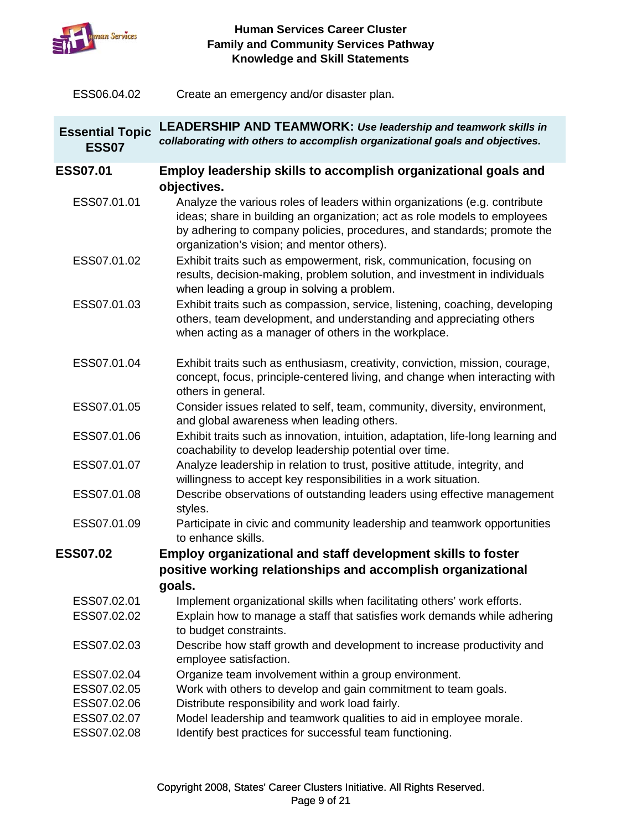

ESS06.04.02 Create an emergency and/or disaster plan. Create an emergency and/or disaster

| <b>Essential Topic</b><br><b>ESS07</b> | <b>LEADERSHIP AND TEAMWORK: Use leadership and teamwork skills in</b><br>collaborating with others to accomplish organizational goals and objectives.                                                                                                                            |
|----------------------------------------|----------------------------------------------------------------------------------------------------------------------------------------------------------------------------------------------------------------------------------------------------------------------------------|
| <b>ESS07.01</b>                        | Employ leadership skills to accomplish organizational goals and                                                                                                                                                                                                                  |
|                                        | objectives.                                                                                                                                                                                                                                                                      |
| ESS07.01.01                            | Analyze the various roles of leaders within organizations (e.g. contribute<br>ideas; share in building an organization; act as role models to employees<br>by adhering to company policies, procedures, and standards; promote the<br>organization's vision; and mentor others). |
| ESS07.01.02                            | Exhibit traits such as empowerment, risk, communication, focusing on<br>results, decision-making, problem solution, and investment in individuals<br>when leading a group in solving a problem.                                                                                  |
| ESS07.01.03                            | Exhibit traits such as compassion, service, listening, coaching, developing<br>others, team development, and understanding and appreciating others<br>when acting as a manager of others in the workplace.                                                                       |
| ESS07.01.04                            | Exhibit traits such as enthusiasm, creativity, conviction, mission, courage,<br>concept, focus, principle-centered living, and change when interacting with<br>others in general.                                                                                                |
| ESS07.01.05                            | Consider issues related to self, team, community, diversity, environment,<br>and global awareness when leading others.                                                                                                                                                           |
| ESS07.01.06                            | Exhibit traits such as innovation, intuition, adaptation, life-long learning and<br>coachability to develop leadership potential over time.                                                                                                                                      |
| ESS07.01.07                            | Analyze leadership in relation to trust, positive attitude, integrity, and<br>willingness to accept key responsibilities in a work situation.                                                                                                                                    |
| ESS07.01.08                            | Describe observations of outstanding leaders using effective management<br>styles.                                                                                                                                                                                               |
| ESS07.01.09                            | Participate in civic and community leadership and teamwork opportunities<br>to enhance skills.                                                                                                                                                                                   |
| <b>ESS07.02</b>                        | <b>Employ organizational and staff development skills to foster</b>                                                                                                                                                                                                              |
|                                        | positive working relationships and accomplish organizational                                                                                                                                                                                                                     |
|                                        | goals.                                                                                                                                                                                                                                                                           |
| ESS07.02.01                            | Implement organizational skills when facilitating others' work efforts.                                                                                                                                                                                                          |
| ESS07.02.02                            | Explain how to manage a staff that satisfies work demands while adhering<br>to budget constraints.                                                                                                                                                                               |
| ESS07.02.03                            | Describe how staff growth and development to increase productivity and<br>employee satisfaction.                                                                                                                                                                                 |
| ESS07.02.04                            | Organize team involvement within a group environment.                                                                                                                                                                                                                            |
| ESS07.02.05                            | Work with others to develop and gain commitment to team goals.                                                                                                                                                                                                                   |
| ESS07.02.06                            | Distribute responsibility and work load fairly.                                                                                                                                                                                                                                  |
| ESS07.02.07                            | Model leadership and teamwork qualities to aid in employee morale.                                                                                                                                                                                                               |
| ESS07.02.08                            | Identify best practices for successful team functioning.                                                                                                                                                                                                                         |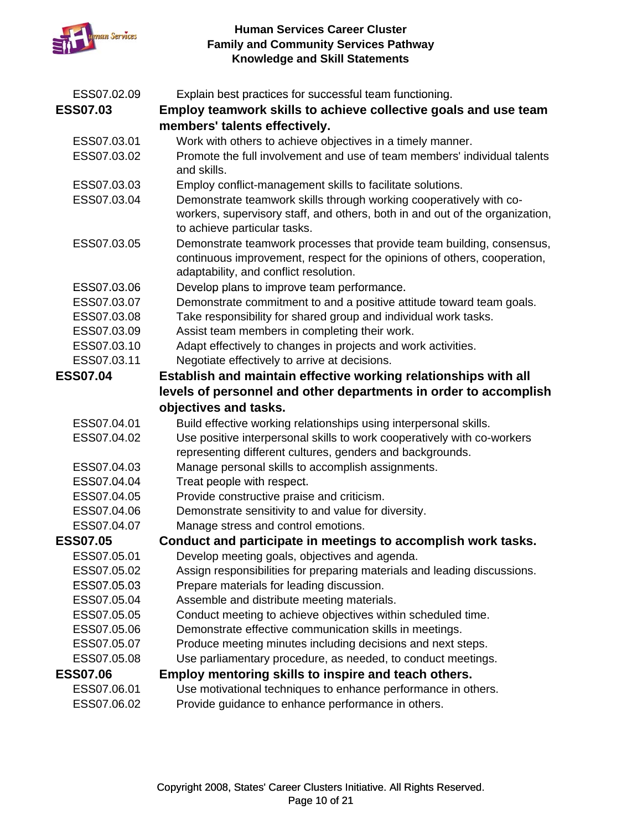

| ESS07.02.09<br><b>ESS07.03</b> | Explain best practices for successful team functioning.<br>Employ teamwork skills to achieve collective goals and use team                                                                  |
|--------------------------------|---------------------------------------------------------------------------------------------------------------------------------------------------------------------------------------------|
|                                | members' talents effectively.                                                                                                                                                               |
| ESS07.03.01                    | Work with others to achieve objectives in a timely manner.                                                                                                                                  |
| ESS07.03.02                    | Promote the full involvement and use of team members' individual talents<br>and skills.                                                                                                     |
| ESS07.03.03                    | Employ conflict-management skills to facilitate solutions.                                                                                                                                  |
| ESS07.03.04                    | Demonstrate teamwork skills through working cooperatively with co-<br>workers, supervisory staff, and others, both in and out of the organization,<br>to achieve particular tasks.          |
| ESS07.03.05                    | Demonstrate teamwork processes that provide team building, consensus,<br>continuous improvement, respect for the opinions of others, cooperation,<br>adaptability, and conflict resolution. |
| ESS07.03.06                    | Develop plans to improve team performance.                                                                                                                                                  |
| ESS07.03.07                    | Demonstrate commitment to and a positive attitude toward team goals.                                                                                                                        |
| ESS07.03.08                    | Take responsibility for shared group and individual work tasks.                                                                                                                             |
| ESS07.03.09                    | Assist team members in completing their work.                                                                                                                                               |
| ESS07.03.10                    | Adapt effectively to changes in projects and work activities.                                                                                                                               |
| ESS07.03.11                    | Negotiate effectively to arrive at decisions.                                                                                                                                               |
| <b>ESS07.04</b>                | Establish and maintain effective working relationships with all                                                                                                                             |
|                                | levels of personnel and other departments in order to accomplish                                                                                                                            |
|                                | objectives and tasks.                                                                                                                                                                       |
| ESS07.04.01                    | Build effective working relationships using interpersonal skills.                                                                                                                           |
| ESS07.04.02                    | Use positive interpersonal skills to work cooperatively with co-workers                                                                                                                     |
|                                | representing different cultures, genders and backgrounds.                                                                                                                                   |
| ESS07.04.03                    | Manage personal skills to accomplish assignments.                                                                                                                                           |
| ESS07.04.04                    | Treat people with respect.                                                                                                                                                                  |
| ESS07.04.05                    | Provide constructive praise and criticism.                                                                                                                                                  |
| ESS07.04.06                    | Demonstrate sensitivity to and value for diversity.                                                                                                                                         |
| ESS07.04.07                    | Manage stress and control emotions.                                                                                                                                                         |
| <b>ESS07.05</b>                | Conduct and participate in meetings to accomplish work tasks.                                                                                                                               |
| ESS07.05.01                    | Develop meeting goals, objectives and agenda.                                                                                                                                               |
| ESS07.05.02                    | Assign responsibilities for preparing materials and leading discussions.                                                                                                                    |
| ESS07.05.03                    | Prepare materials for leading discussion.                                                                                                                                                   |
| ESS07.05.04                    | Assemble and distribute meeting materials.                                                                                                                                                  |
| ESS07.05.05                    | Conduct meeting to achieve objectives within scheduled time.                                                                                                                                |
| ESS07.05.06                    | Demonstrate effective communication skills in meetings.                                                                                                                                     |
| ESS07.05.07                    | Produce meeting minutes including decisions and next steps.                                                                                                                                 |
| ESS07.05.08                    | Use parliamentary procedure, as needed, to conduct meetings.                                                                                                                                |
| <b>ESS07.06</b>                | Employ mentoring skills to inspire and teach others.                                                                                                                                        |
| ESS07.06.01                    | Use motivational techniques to enhance performance in others.                                                                                                                               |
| ESS07.06.02                    | Provide guidance to enhance performance in others.                                                                                                                                          |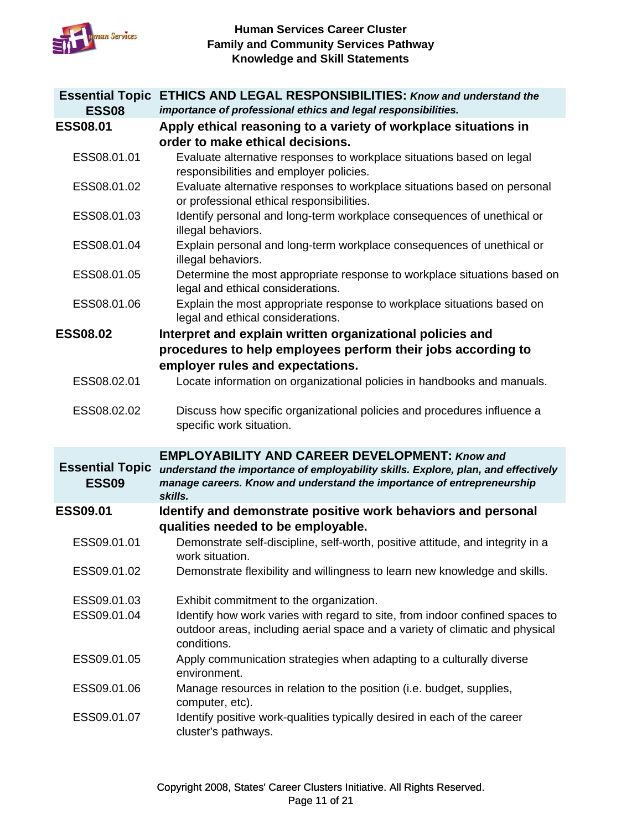

| <b>ESS08</b>                           | Essential Topic ETHICS AND LEGAL RESPONSIBILITIES: Know and understand the<br>importance of professional ethics and legal responsibilities.                                                                                     |
|----------------------------------------|---------------------------------------------------------------------------------------------------------------------------------------------------------------------------------------------------------------------------------|
| <b>ESS08.01</b>                        | Apply ethical reasoning to a variety of workplace situations in<br>order to make ethical decisions.                                                                                                                             |
| ESS08.01.01                            | Evaluate alternative responses to workplace situations based on legal<br>responsibilities and employer policies.                                                                                                                |
| ESS08.01.02                            | Evaluate alternative responses to workplace situations based on personal<br>or professional ethical responsibilities.                                                                                                           |
| ESS08.01.03                            | Identify personal and long-term workplace consequences of unethical or<br>illegal behaviors.                                                                                                                                    |
| ESS08.01.04                            | Explain personal and long-term workplace consequences of unethical or<br>illegal behaviors.                                                                                                                                     |
| ESS08.01.05                            | Determine the most appropriate response to workplace situations based on<br>legal and ethical considerations.                                                                                                                   |
| ESS08.01.06                            | Explain the most appropriate response to workplace situations based on<br>legal and ethical considerations.                                                                                                                     |
| <b>ESS08.02</b>                        | Interpret and explain written organizational policies and<br>procedures to help employees perform their jobs according to<br>employer rules and expectations.                                                                   |
| ESS08.02.01                            | Locate information on organizational policies in handbooks and manuals.                                                                                                                                                         |
| ESS08.02.02                            | Discuss how specific organizational policies and procedures influence a<br>specific work situation.                                                                                                                             |
| <b>Essential Topic</b><br><b>ESS09</b> | <b>EMPLOYABILITY AND CAREER DEVELOPMENT: Know and</b><br>understand the importance of employability skills. Explore, plan, and effectively<br>manage careers. Know and understand the importance of entrepreneurship<br>skills. |
| <b>ESS09.01</b>                        | Identify and demonstrate positive work behaviors and personal<br>qualities needed to be employable.                                                                                                                             |
| ESS09.01.01                            | Demonstrate self-discipline, self-worth, positive attitude, and integrity in a<br>work situation                                                                                                                                |
| ESS09.01.02                            | Demonstrate flexibility and willingness to learn new knowledge and skills.                                                                                                                                                      |
| ESS09.01.03<br>ESS09.01.04             | Exhibit commitment to the organization.<br>Identify how work varies with regard to site, from indoor confined spaces to<br>outdoor areas, including aerial space and a variety of climatic and physical<br>conditions.          |
| ESS09.01.05                            | Apply communication strategies when adapting to a culturally diverse<br>environment.                                                                                                                                            |
| ESS09.01.06                            | Manage resources in relation to the position (i.e. budget, supplies,<br>computer, etc).                                                                                                                                         |
| ESS09.01.07                            | Identify positive work-qualities typically desired in each of the career<br>cluster's pathways.                                                                                                                                 |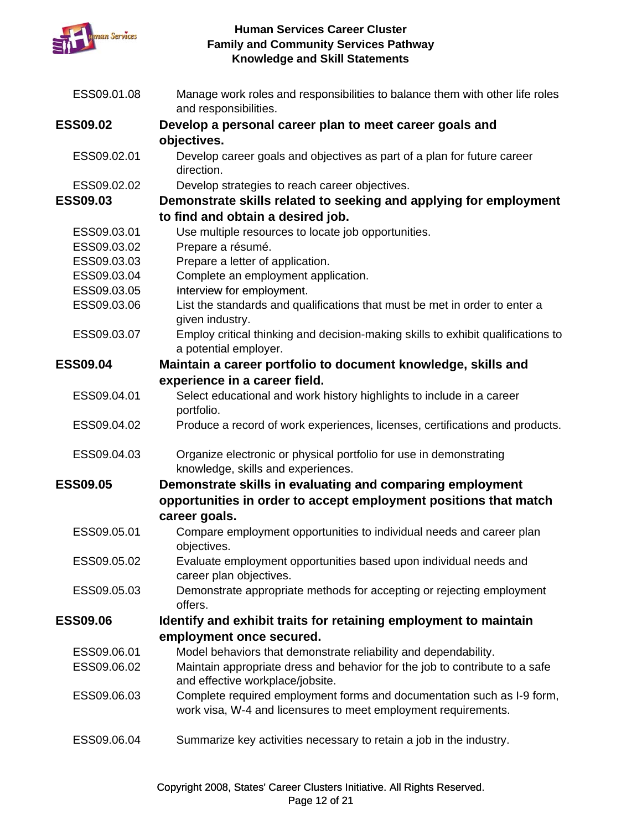

| ESS09.01.08     | Manage work roles and responsibilities to balance them with other life roles<br>and responsibilities.                                    |
|-----------------|------------------------------------------------------------------------------------------------------------------------------------------|
| <b>ESS09.02</b> | Develop a personal career plan to meet career goals and                                                                                  |
|                 | objectives.                                                                                                                              |
| ESS09.02.01     | Develop career goals and objectives as part of a plan for future career<br>direction.                                                    |
| ESS09.02.02     | Develop strategies to reach career objectives.                                                                                           |
| <b>ESS09.03</b> | Demonstrate skills related to seeking and applying for employment                                                                        |
|                 | to find and obtain a desired job.                                                                                                        |
| ESS09.03.01     | Use multiple resources to locate job opportunities.                                                                                      |
| ESS09.03.02     | Prepare a résumé.                                                                                                                        |
| ESS09.03.03     | Prepare a letter of application.                                                                                                         |
| ESS09.03.04     | Complete an employment application.                                                                                                      |
| ESS09.03.05     | Interview for employment.                                                                                                                |
| ESS09.03.06     | List the standards and qualifications that must be met in order to enter a<br>given industry.                                            |
| ESS09.03.07     | Employ critical thinking and decision-making skills to exhibit qualifications to<br>a potential employer.                                |
| <b>ESS09.04</b> | Maintain a career portfolio to document knowledge, skills and                                                                            |
|                 | experience in a career field.                                                                                                            |
| ESS09.04.01     | Select educational and work history highlights to include in a career<br>portfolio.                                                      |
| ESS09.04.02     | Produce a record of work experiences, licenses, certifications and products.                                                             |
| ESS09.04.03     | Organize electronic or physical portfolio for use in demonstrating<br>knowledge, skills and experiences.                                 |
| <b>ESS09.05</b> | Demonstrate skills in evaluating and comparing employment<br>opportunities in order to accept employment positions that match            |
|                 | career goals.                                                                                                                            |
| ESS09.05.01     | Compare employment opportunities to individual needs and career plan<br>objectives.                                                      |
| ESS09.05.02     | Evaluate employment opportunities based upon individual needs and<br>career plan objectives.                                             |
| ESS09.05.03     | Demonstrate appropriate methods for accepting or rejecting employment<br>offers.                                                         |
| <b>ESS09.06</b> | Identify and exhibit traits for retaining employment to maintain                                                                         |
|                 | employment once secured.                                                                                                                 |
| ESS09.06.01     | Model behaviors that demonstrate reliability and dependability.                                                                          |
| ESS09.06.02     | Maintain appropriate dress and behavior for the job to contribute to a safe<br>and effective workplace/jobsite.                          |
| ESS09.06.03     | Complete required employment forms and documentation such as I-9 form,<br>work visa, W-4 and licensures to meet employment requirements. |
| ESS09.06.04     | Summarize key activities necessary to retain a job in the industry.                                                                      |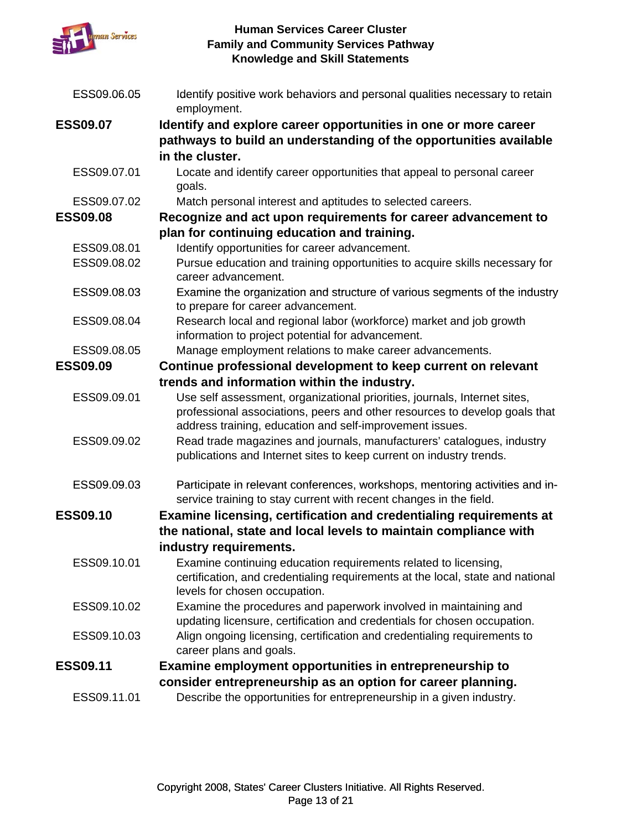

| ESS09.06.05     | Identify positive work behaviors and personal qualities necessary to retain<br>employment.                                                                                                                          |
|-----------------|---------------------------------------------------------------------------------------------------------------------------------------------------------------------------------------------------------------------|
| <b>ESS09.07</b> | Identify and explore career opportunities in one or more career                                                                                                                                                     |
|                 | pathways to build an understanding of the opportunities available                                                                                                                                                   |
|                 | in the cluster.                                                                                                                                                                                                     |
| ESS09.07.01     | Locate and identify career opportunities that appeal to personal career<br>goals.                                                                                                                                   |
| ESS09.07.02     | Match personal interest and aptitudes to selected careers.                                                                                                                                                          |
| <b>ESS09.08</b> | Recognize and act upon requirements for career advancement to                                                                                                                                                       |
|                 | plan for continuing education and training.                                                                                                                                                                         |
| ESS09.08.01     | Identify opportunities for career advancement.                                                                                                                                                                      |
| ESS09.08.02     | Pursue education and training opportunities to acquire skills necessary for                                                                                                                                         |
|                 | career advancement.                                                                                                                                                                                                 |
| ESS09.08.03     | Examine the organization and structure of various segments of the industry                                                                                                                                          |
|                 | to prepare for career advancement.                                                                                                                                                                                  |
| ESS09.08.04     | Research local and regional labor (workforce) market and job growth<br>information to project potential for advancement.                                                                                            |
| ESS09.08.05     | Manage employment relations to make career advancements.                                                                                                                                                            |
| <b>ESS09.09</b> | Continue professional development to keep current on relevant                                                                                                                                                       |
|                 | trends and information within the industry.                                                                                                                                                                         |
| ESS09.09.01     | Use self assessment, organizational priorities, journals, Internet sites,<br>professional associations, peers and other resources to develop goals that<br>address training, education and self-improvement issues. |
| ESS09.09.02     | Read trade magazines and journals, manufacturers' catalogues, industry<br>publications and Internet sites to keep current on industry trends.                                                                       |
| ESS09.09.03     | Participate in relevant conferences, workshops, mentoring activities and in-<br>service training to stay current with recent changes in the field.                                                                  |
| <b>ESS09.10</b> | Examine licensing, certification and credentialing requirements at                                                                                                                                                  |
|                 | the national, state and local levels to maintain compliance with                                                                                                                                                    |
|                 | industry requirements.                                                                                                                                                                                              |
| ESS09.10.01     | Examine continuing education requirements related to licensing,                                                                                                                                                     |
|                 | certification, and credentialing requirements at the local, state and national<br>levels for chosen occupation.                                                                                                     |
| ESS09.10.02     | Examine the procedures and paperwork involved in maintaining and<br>updating licensure, certification and credentials for chosen occupation.                                                                        |
| ESS09.10.03     | Align ongoing licensing, certification and credentialing requirements to<br>career plans and goals.                                                                                                                 |
| <b>ESS09.11</b> | Examine employment opportunities in entrepreneurship to                                                                                                                                                             |
|                 | consider entrepreneurship as an option for career planning.                                                                                                                                                         |
| ESS09.11.01     | Describe the opportunities for entrepreneurship in a given industry.                                                                                                                                                |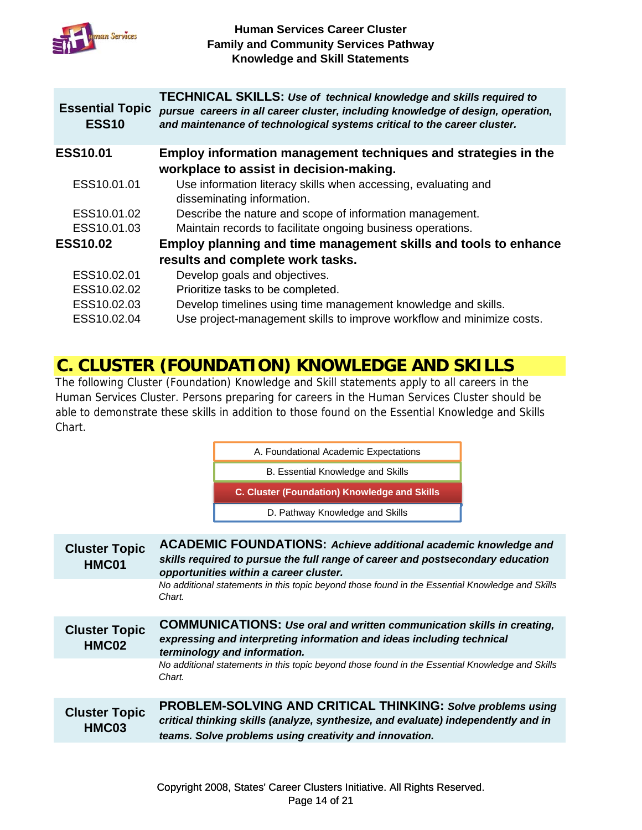

| <b>Essential Topic</b><br><b>ESS10</b> | <b>TECHNICAL SKILLS: Use of technical knowledge and skills required to</b><br>pursue careers in all career cluster, including knowledge of design, operation,<br>and maintenance of technological systems critical to the career cluster. |
|----------------------------------------|-------------------------------------------------------------------------------------------------------------------------------------------------------------------------------------------------------------------------------------------|
| <b>ESS10.01</b>                        | Employ information management techniques and strategies in the                                                                                                                                                                            |
|                                        | workplace to assist in decision-making.                                                                                                                                                                                                   |
| ESS10.01.01                            | Use information literacy skills when accessing, evaluating and<br>disseminating information.                                                                                                                                              |
| ESS10.01.02                            | Describe the nature and scope of information management.                                                                                                                                                                                  |
| ESS10.01.03                            | Maintain records to facilitate ongoing business operations.                                                                                                                                                                               |
| <b>ESS10.02</b>                        | Employ planning and time management skills and tools to enhance                                                                                                                                                                           |
|                                        | results and complete work tasks.                                                                                                                                                                                                          |
| ESS10.02.01                            | Develop goals and objectives.                                                                                                                                                                                                             |
| ESS10.02.02                            | Prioritize tasks to be completed.                                                                                                                                                                                                         |
| ESS10.02.03                            | Develop timelines using time management knowledge and skills.                                                                                                                                                                             |
| ESS10.02.04                            | Use project-management skills to improve workflow and minimize costs.                                                                                                                                                                     |
|                                        |                                                                                                                                                                                                                                           |

# **C. CLUSTER (FOUNDATION) KNOWLEDGE AND SKILLS**

The following Cluster (Foundation) Knowledge and Skill statements apply to all careers in the Human Services Cluster. Persons preparing for careers in the Human Services Cluster should be able to demonstrate these skills in addition to those found on the Essential Knowledge and Skills Chart.



| <b>Cluster Topic</b><br>HMC01 | <b>ACADEMIC FOUNDATIONS: Achieve additional academic knowledge and</b><br>skills required to pursue the full range of career and postsecondary education<br>opportunities within a career cluster.                |
|-------------------------------|-------------------------------------------------------------------------------------------------------------------------------------------------------------------------------------------------------------------|
|                               | No additional statements in this topic beyond those found in the Essential Knowledge and Skills<br>Chart.                                                                                                         |
| <b>Cluster Topic</b><br>HMC02 | <b>COMMUNICATIONS: Use oral and written communication skills in creating,</b><br>expressing and interpreting information and ideas including technical<br>terminology and information.                            |
|                               | No additional statements in this topic beyond those found in the Essential Knowledge and Skills<br>Chart.                                                                                                         |
| <b>Cluster Topic</b><br>HMC03 | <b>PROBLEM-SOLVING AND CRITICAL THINKING: Solve problems using</b><br>critical thinking skills (analyze, synthesize, and evaluate) independently and in<br>teams. Solve problems using creativity and innovation. |
|                               |                                                                                                                                                                                                                   |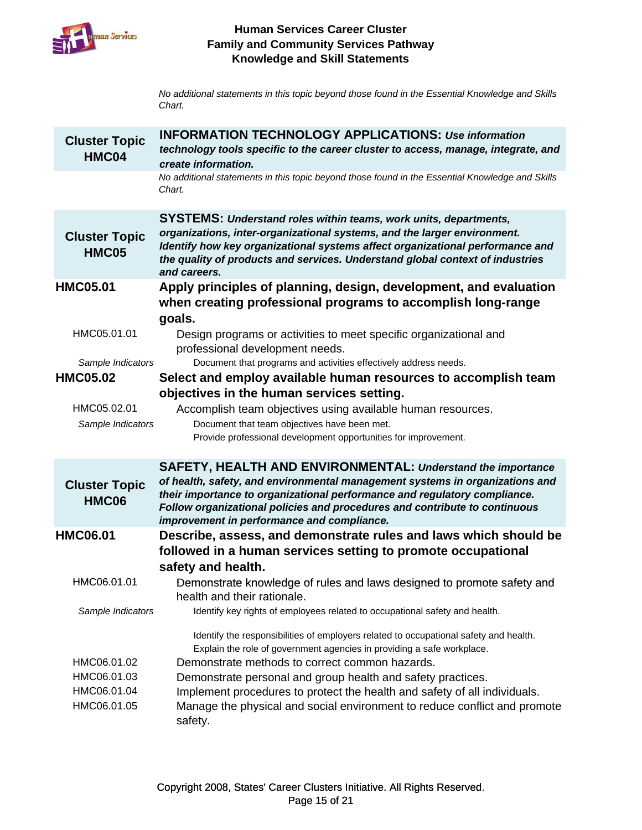

No additional statements in this topic beyond those found in the Essential Knowledge and Skills *Chart.*

| <b>Cluster Topic</b><br>HMC04                            | <b>INFORMATION TECHNOLOGY APPLICATIONS: Use information</b><br>technology tools specific to the career cluster to access, manage, integrate, and<br>create information.                                                                                                                                                                                                                                                                               |
|----------------------------------------------------------|-------------------------------------------------------------------------------------------------------------------------------------------------------------------------------------------------------------------------------------------------------------------------------------------------------------------------------------------------------------------------------------------------------------------------------------------------------|
|                                                          | No additional statements in this topic beyond those found in the Essential Knowledge and Skills<br>Chart.                                                                                                                                                                                                                                                                                                                                             |
| <b>Cluster Topic</b><br><b>HMC05</b>                     | <b>SYSTEMS: Understand roles within teams, work units, departments,</b><br>organizations, inter-organizational systems, and the larger environment.<br>Identify how key organizational systems affect organizational performance and<br>the quality of products and services. Understand global context of industries<br>and careers.                                                                                                                 |
| <b>HMC05.01</b>                                          | Apply principles of planning, design, development, and evaluation<br>when creating professional programs to accomplish long-range<br>goals.                                                                                                                                                                                                                                                                                                           |
| HMC05.01.01                                              | Design programs or activities to meet specific organizational and<br>professional development needs.                                                                                                                                                                                                                                                                                                                                                  |
| Sample Indicators                                        | Document that programs and activities effectively address needs.                                                                                                                                                                                                                                                                                                                                                                                      |
| <b>HMC05.02</b>                                          | Select and employ available human resources to accomplish team<br>objectives in the human services setting.                                                                                                                                                                                                                                                                                                                                           |
| HMC05.02.01                                              | Accomplish team objectives using available human resources.                                                                                                                                                                                                                                                                                                                                                                                           |
| Sample Indicators                                        | Document that team objectives have been met.                                                                                                                                                                                                                                                                                                                                                                                                          |
|                                                          | Provide professional development opportunities for improvement.                                                                                                                                                                                                                                                                                                                                                                                       |
|                                                          | SAFETY, HEALTH AND ENVIRONMENTAL: Understand the importance                                                                                                                                                                                                                                                                                                                                                                                           |
| <b>Cluster Topic</b><br><b>HMC06</b>                     | of health, safety, and environmental management systems in organizations and<br>their importance to organizational performance and regulatory compliance.<br>Follow organizational policies and procedures and contribute to continuous<br>improvement in performance and compliance.                                                                                                                                                                 |
| <b>HMC06.01</b>                                          | Describe, assess, and demonstrate rules and laws which should be                                                                                                                                                                                                                                                                                                                                                                                      |
|                                                          | followed in a human services setting to promote occupational                                                                                                                                                                                                                                                                                                                                                                                          |
| HMC06.01.01                                              | safety and health.<br>Demonstrate knowledge of rules and laws designed to promote safety and<br>health and their rationale.                                                                                                                                                                                                                                                                                                                           |
| Sample Indicators                                        | Identify key rights of employees related to occupational safety and health.                                                                                                                                                                                                                                                                                                                                                                           |
| HMC06.01.02<br>HMC06.01.03<br>HMC06.01.04<br>HMC06.01.05 | Identify the responsibilities of employers related to occupational safety and health.<br>Explain the role of government agencies in providing a safe workplace.<br>Demonstrate methods to correct common hazards.<br>Demonstrate personal and group health and safety practices.<br>Implement procedures to protect the health and safety of all individuals.<br>Manage the physical and social environment to reduce conflict and promote<br>safety. |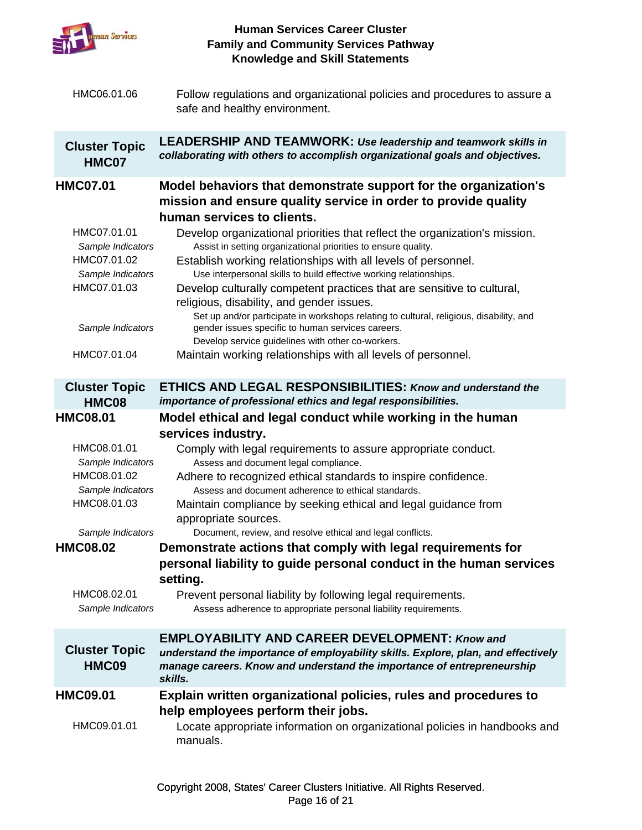

| HMC06.01.06                                                                         | Follow regulations and organizational policies and procedures to assure a<br>safe and healthy environment.                                                                                                                                                                                                                                                                                                 |
|-------------------------------------------------------------------------------------|------------------------------------------------------------------------------------------------------------------------------------------------------------------------------------------------------------------------------------------------------------------------------------------------------------------------------------------------------------------------------------------------------------|
| <b>Cluster Topic</b><br>HMC07                                                       | <b>LEADERSHIP AND TEAMWORK: Use leadership and teamwork skills in</b><br>collaborating with others to accomplish organizational goals and objectives.                                                                                                                                                                                                                                                      |
| <b>HMC07.01</b>                                                                     | Model behaviors that demonstrate support for the organization's<br>mission and ensure quality service in order to provide quality<br>human services to clients.                                                                                                                                                                                                                                            |
| HMC07.01.01<br>Sample Indicators<br>HMC07.01.02<br>Sample Indicators<br>HMC07.01.03 | Develop organizational priorities that reflect the organization's mission.<br>Assist in setting organizational priorities to ensure quality.<br>Establish working relationships with all levels of personnel.<br>Use interpersonal skills to build effective working relationships.<br>Develop culturally competent practices that are sensitive to cultural,<br>religious, disability, and gender issues. |
| Sample Indicators<br>HMC07.01.04                                                    | Set up and/or participate in workshops relating to cultural, religious, disability, and<br>gender issues specific to human services careers.<br>Develop service guidelines with other co-workers.<br>Maintain working relationships with all levels of personnel.                                                                                                                                          |
|                                                                                     |                                                                                                                                                                                                                                                                                                                                                                                                            |
| <b>Cluster Topic</b><br>HMC08                                                       | <b>ETHICS AND LEGAL RESPONSIBILITIES: Know and understand the</b><br>importance of professional ethics and legal responsibilities.                                                                                                                                                                                                                                                                         |
| <b>HMC08.01</b>                                                                     | Model ethical and legal conduct while working in the human                                                                                                                                                                                                                                                                                                                                                 |
|                                                                                     |                                                                                                                                                                                                                                                                                                                                                                                                            |
| HMC08.01.01<br>Sample Indicators<br>HMC08.01.02<br>Sample Indicators<br>HMC08.01.03 | services industry.<br>Comply with legal requirements to assure appropriate conduct.<br>Assess and document legal compliance.<br>Adhere to recognized ethical standards to inspire confidence.<br>Assess and document adherence to ethical standards.<br>Maintain compliance by seeking ethical and legal guidance from<br>appropriate sources.                                                             |
| Sample Indicators<br><b>HMC08.02</b>                                                | Document, review, and resolve ethical and legal conflicts.<br>Demonstrate actions that comply with legal requirements for<br>personal liability to guide personal conduct in the human services<br>setting.                                                                                                                                                                                                |
| HMC08.02.01<br>Sample Indicators                                                    | Prevent personal liability by following legal requirements.<br>Assess adherence to appropriate personal liability requirements.                                                                                                                                                                                                                                                                            |
| <b>Cluster Topic</b><br>HMC09                                                       | <b>EMPLOYABILITY AND CAREER DEVELOPMENT: Know and</b><br>understand the importance of employability skills. Explore, plan, and effectively<br>manage careers. Know and understand the importance of entrepreneurship<br>skills.                                                                                                                                                                            |
| <b>HMC09.01</b>                                                                     | Explain written organizational policies, rules and procedures to<br>help employees perform their jobs.                                                                                                                                                                                                                                                                                                     |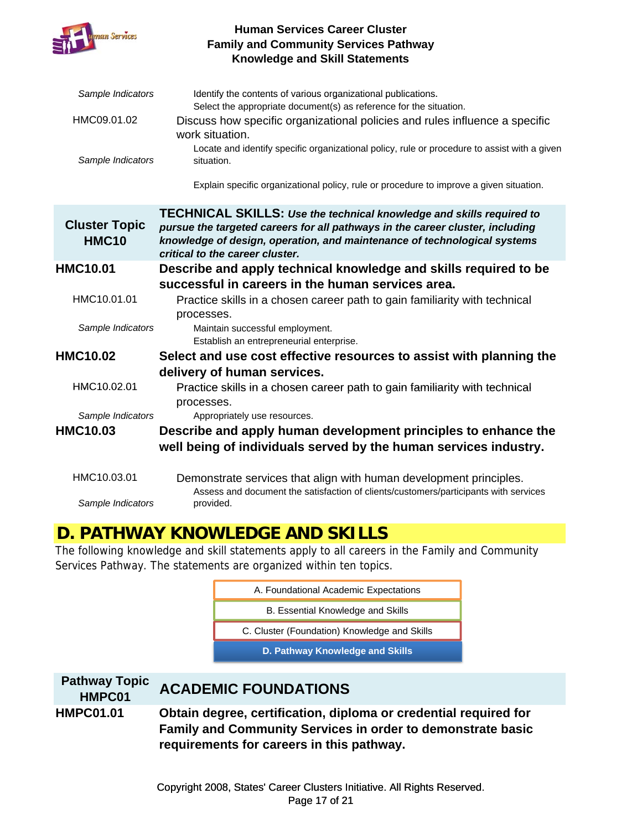

| Sample Indicators<br>HMC09.01.02<br>Sample Indicators | Identify the contents of various organizational publications.<br>Select the appropriate document(s) as reference for the situation.<br>Discuss how specific organizational policies and rules influence a specific<br>work situation.<br>Locate and identify specific organizational policy, rule or procedure to assist with a given<br>situation.<br>Explain specific organizational policy, rule or procedure to improve a given situation. |
|-------------------------------------------------------|------------------------------------------------------------------------------------------------------------------------------------------------------------------------------------------------------------------------------------------------------------------------------------------------------------------------------------------------------------------------------------------------------------------------------------------------|
| <b>Cluster Topic</b><br><b>HMC10</b>                  | <b>TECHNICAL SKILLS:</b> Use the technical knowledge and skills required to<br>pursue the targeted careers for all pathways in the career cluster, including<br>knowledge of design, operation, and maintenance of technological systems<br>critical to the career cluster.                                                                                                                                                                    |
| <b>HMC10.01</b>                                       | Describe and apply technical knowledge and skills required to be                                                                                                                                                                                                                                                                                                                                                                               |
|                                                       | successful in careers in the human services area.                                                                                                                                                                                                                                                                                                                                                                                              |
| HMC10.01.01                                           | Practice skills in a chosen career path to gain familiarity with technical<br>processes.                                                                                                                                                                                                                                                                                                                                                       |
| Sample Indicators                                     | Maintain successful employment.<br>Establish an entrepreneurial enterprise.                                                                                                                                                                                                                                                                                                                                                                    |
| HMC10.02                                              | Select and use cost effective resources to assist with planning the                                                                                                                                                                                                                                                                                                                                                                            |
|                                                       | delivery of human services.                                                                                                                                                                                                                                                                                                                                                                                                                    |
| HMC10.02.01                                           | Practice skills in a chosen career path to gain familiarity with technical<br>processes.                                                                                                                                                                                                                                                                                                                                                       |
| Sample Indicators                                     | Appropriately use resources.                                                                                                                                                                                                                                                                                                                                                                                                                   |
| HMC10.03                                              | Describe and apply human development principles to enhance the<br>well being of individuals served by the human services industry.                                                                                                                                                                                                                                                                                                             |
| HMC10.03.01                                           | Demonstrate services that align with human development principles.                                                                                                                                                                                                                                                                                                                                                                             |
| Sample Indicators                                     | Assess and document the satisfaction of clients/customers/participants with services<br>provided.                                                                                                                                                                                                                                                                                                                                              |

# **D. PATHWAY KNOWLEDGE AND SKILLS**

The following knowledge and skill statements apply to all careers in the Family and Community Services Pathway. The statements are organized within ten topics.

| A. Foundational Academic Expectations        |  |
|----------------------------------------------|--|
| B. Essential Knowledge and Skills            |  |
| C. Cluster (Foundation) Knowledge and Skills |  |
| D. Pathway Knowledge and Skills              |  |

# **Pathway Topic HMPC01 ACADEMIC FOUNDATIONS**

**HMPC01.01 Obtain degree, certification, diploma or credential required for Family and Community Services in order to demonstrate basic requirements for careers in this pathway.**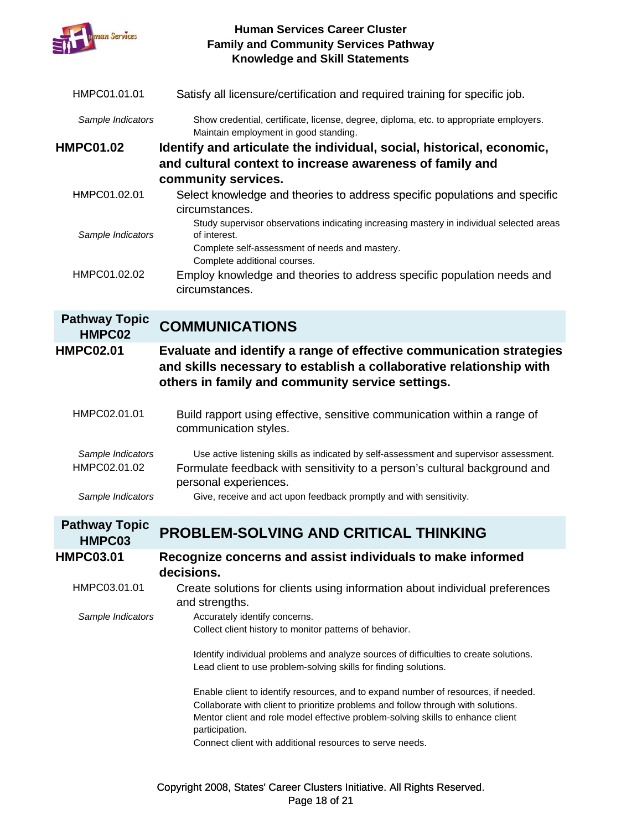

| HMPC01.01.01                   | Satisfy all licensure/certification and required training for specific job.                                                                                                                    |
|--------------------------------|------------------------------------------------------------------------------------------------------------------------------------------------------------------------------------------------|
| Sample Indicators              | Show credential, certificate, license, degree, diploma, etc. to appropriate employers.<br>Maintain employment in good standing.                                                                |
| <b>HMPC01.02</b>               | Identify and articulate the individual, social, historical, economic,                                                                                                                          |
|                                | and cultural context to increase awareness of family and                                                                                                                                       |
|                                | community services.                                                                                                                                                                            |
| HMPC01.02.01                   | Select knowledge and theories to address specific populations and specific<br>circumstances.                                                                                                   |
| Sample Indicators              | Study supervisor observations indicating increasing mastery in individual selected areas<br>of interest.                                                                                       |
|                                | Complete self-assessment of needs and mastery.<br>Complete additional courses.                                                                                                                 |
| HMPC01.02.02                   | Employ knowledge and theories to address specific population needs and<br>circumstances.                                                                                                       |
| <b>Pathway Topic</b><br>HMPC02 | <b>COMMUNICATIONS</b>                                                                                                                                                                          |
| <b>HMPC02.01</b>               | Evaluate and identify a range of effective communication strategies<br>and skills necessary to establish a collaborative relationship with<br>others in family and community service settings. |
| HMPC02.01.01                   | Build rapport using effective, sensitive communication within a range of<br>communication styles.                                                                                              |
| Sample Indicators              | Use active listening skills as indicated by self-assessment and supervisor assessment.                                                                                                         |
| HMPC02.01.02                   | Formulate feedback with sensitivity to a person's cultural background and<br>personal experiences.                                                                                             |
| Sample Indicators              | Give, receive and act upon feedback promptly and with sensitivity.                                                                                                                             |

#### **Pathway Topic HMPC03 PROBLEM-SOLVING AND CRITICAL THINKING**

**HMPC03.01 Recognize concerns and assist individuals to make informed decisions.** HMPC03.01.01 Create solutions for clients using information about individual preferences and strengths. *Sample Indicators* Accurately identify concerns. Collect client history to monitor patterns of behavior. Identify individual problems and analyze sources of difficulties to create solutions. Lead client to use problem-solving skills for finding solutions. Enable client to identify resources, and to expand number of resources, if needed. Collaborate with client to prioritize problems and follow through with solutions. Mentor client and role model effective problem-solving skills to enhance client participation. Connect client with additional resources to serve needs.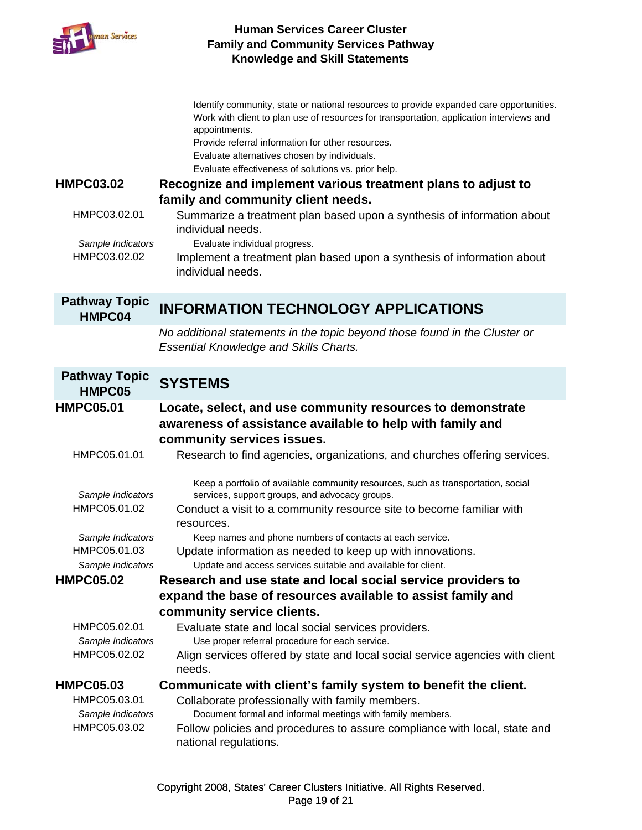

| <b>HMPC03.02</b><br>HMPC03.02.01                                                            | Identify community, state or national resources to provide expanded care opportunities.<br>Work with client to plan use of resources for transportation, application interviews and<br>appointments.<br>Provide referral information for other resources.<br>Evaluate alternatives chosen by individuals.<br>Evaluate effectiveness of solutions vs. prior help.<br>Recognize and implement various treatment plans to adjust to<br>family and community client needs.<br>Summarize a treatment plan based upon a synthesis of information about |
|---------------------------------------------------------------------------------------------|--------------------------------------------------------------------------------------------------------------------------------------------------------------------------------------------------------------------------------------------------------------------------------------------------------------------------------------------------------------------------------------------------------------------------------------------------------------------------------------------------------------------------------------------------|
| Sample Indicators<br>HMPC03.02.02                                                           | individual needs.<br>Evaluate individual progress.<br>Implement a treatment plan based upon a synthesis of information about<br>individual needs.                                                                                                                                                                                                                                                                                                                                                                                                |
| <b>Pathway Topic</b><br>HMPC04                                                              | <b>INFORMATION TECHNOLOGY APPLICATIONS</b>                                                                                                                                                                                                                                                                                                                                                                                                                                                                                                       |
|                                                                                             | No additional statements in the topic beyond those found in the Cluster or<br><b>Essential Knowledge and Skills Charts.</b>                                                                                                                                                                                                                                                                                                                                                                                                                      |
| <b>Pathway Topic</b><br>HMPC05                                                              | <b>SYSTEMS</b>                                                                                                                                                                                                                                                                                                                                                                                                                                                                                                                                   |
| <b>HMPC05.01</b><br>HMPC05.01.01                                                            | Locate, select, and use community resources to demonstrate<br>awareness of assistance available to help with family and<br>community services issues.<br>Research to find agencies, organizations, and churches offering services.                                                                                                                                                                                                                                                                                                               |
| Sample Indicators<br>HMPC05.01.02<br>Sample Indicators<br>HMPC05.01.03<br>Sample Indicators | Keep a portfolio of available community resources, such as transportation, social<br>services, support groups, and advocacy groups.<br>Conduct a visit to a community resource site to become familiar with<br>resources.<br>Keep names and phone numbers of contacts at each service.<br>Update information as needed to keep up with innovations.<br>Update and access services suitable and available for client.                                                                                                                             |
| <b>HMPC05.02</b>                                                                            | Research and use state and local social service providers to                                                                                                                                                                                                                                                                                                                                                                                                                                                                                     |
|                                                                                             | expand the base of resources available to assist family and                                                                                                                                                                                                                                                                                                                                                                                                                                                                                      |
|                                                                                             | community service clients.                                                                                                                                                                                                                                                                                                                                                                                                                                                                                                                       |
| HMPC05.02.01<br>Sample Indicators<br>HMPC05.02.02                                           | Evaluate state and local social services providers.<br>Use proper referral procedure for each service.<br>Align services offered by state and local social service agencies with client<br>needs.                                                                                                                                                                                                                                                                                                                                                |
| <b>HMPC05.03</b>                                                                            | Communicate with client's family system to benefit the client.                                                                                                                                                                                                                                                                                                                                                                                                                                                                                   |
| HMPC05.03.01<br>Sample Indicators<br>HMPC05.03.02                                           | Collaborate professionally with family members.<br>Document formal and informal meetings with family members.<br>Follow policies and procedures to assure compliance with local, state and<br>national regulations.                                                                                                                                                                                                                                                                                                                              |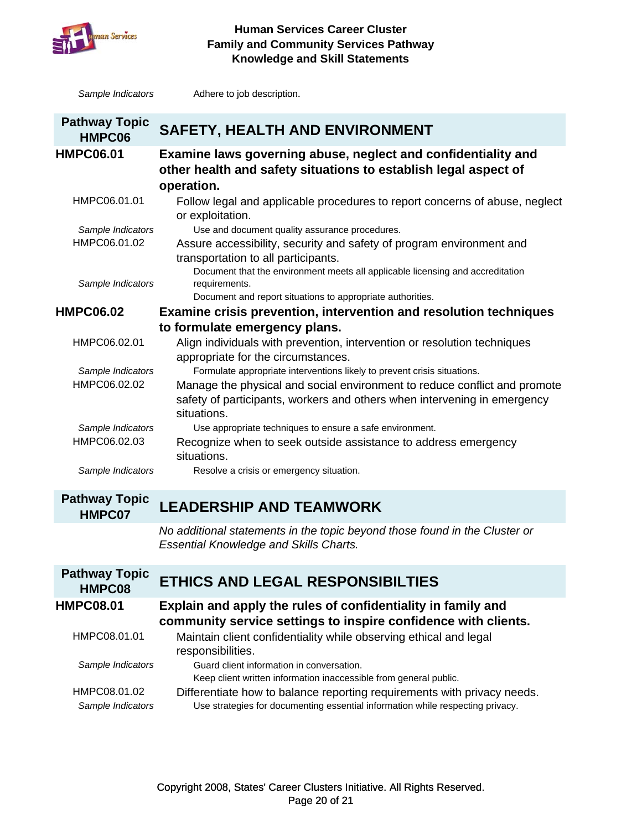

**Sample** Indicators

#### **Human Services Career Cluster Family and Community Services Pathway Knowledge and Skill Statements**

*Sample Indicators* Adhere to job description.

| <b>Pathway Topic</b><br>HMPC06 | <b>SAFETY, HEALTH AND ENVIRONMENT</b>                                                                                                                                |
|--------------------------------|----------------------------------------------------------------------------------------------------------------------------------------------------------------------|
| <b>HMPC06.01</b>               | Examine laws governing abuse, neglect and confidentiality and<br>other health and safety situations to establish legal aspect of<br>operation.                       |
| HMPC06.01.01                   | Follow legal and applicable procedures to report concerns of abuse, neglect<br>or exploitation.                                                                      |
| Sample Indicators              | Use and document quality assurance procedures.                                                                                                                       |
| HMPC06.01.02                   | Assure accessibility, security and safety of program environment and<br>transportation to all participants.                                                          |
| Sample Indicators              | Document that the environment meets all applicable licensing and accreditation<br>requirements.<br>Document and report situations to appropriate authorities.        |
|                                |                                                                                                                                                                      |
| <b>HMPC06.02</b>               | <b>Examine crisis prevention, intervention and resolution techniques</b>                                                                                             |
|                                | to formulate emergency plans.                                                                                                                                        |
| HMPC06.02.01                   | Align individuals with prevention, intervention or resolution techniques<br>appropriate for the circumstances.                                                       |
| Sample Indicators              | Formulate appropriate interventions likely to prevent crisis situations.                                                                                             |
| HMPC06.02.02                   | Manage the physical and social environment to reduce conflict and promote<br>safety of participants, workers and others when intervening in emergency<br>situations. |
| Sample Indicators              | Use appropriate techniques to ensure a safe environment.                                                                                                             |
| HMPC06.02.03                   | Recognize when to seek outside assistance to address emergency<br>situations.                                                                                        |
| Sample Indicators              | Resolve a crisis or emergency situation.                                                                                                                             |

# **Pathway Topic**

# **HMPC07 LEADERSHIP AND TEAMWORK**

*No additional statements in the topic beyond those found in the Cluster or Essential Knowledge and Skills Charts.*

| <b>Pathway Topic</b><br>HMPC08    | ETHICS AND LEGAL RESPONSIBILTIES                                                                                                                          |
|-----------------------------------|-----------------------------------------------------------------------------------------------------------------------------------------------------------|
| <b>HMPC08.01</b>                  | Explain and apply the rules of confidentiality in family and<br>community service settings to inspire confidence with clients.                            |
| HMPC08.01.01                      | Maintain client confidentiality while observing ethical and legal<br>responsibilities.                                                                    |
| Sample Indicators                 | Guard client information in conversation.<br>Keep client written information inaccessible from general public.                                            |
| HMPC08.01.02<br>Sample Indicators | Differentiate how to balance reporting requirements with privacy needs.<br>Use strategies for documenting essential information while respecting privacy. |